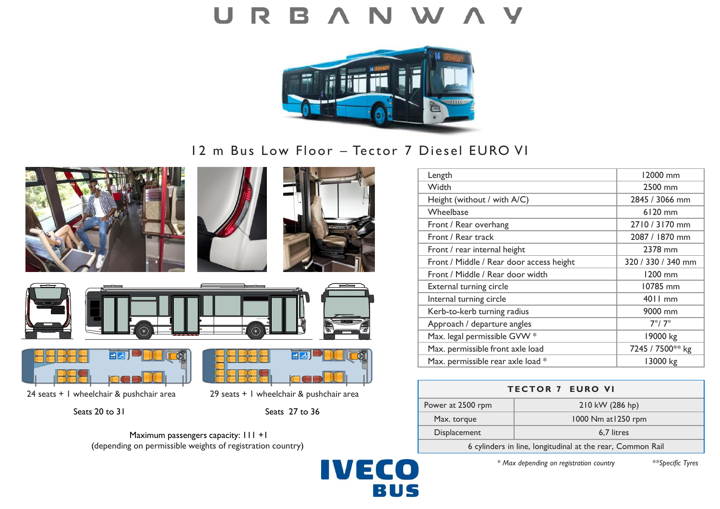

12 m Bus Low Floor – Tector 7 Diesel EURO VI

**IVECO** 

BUS











24 seats + 1 wheelchair & pushchair area 29 seats + 1 wheelchair & pushchair area

न्न

# Seats 20 to 31 Seats 27 to 36

Maximum passengers capacity:  $111 +1$ (depending on permissible weights of registration country)



| <b>TECTOR 7 EURO VI</b>                                    |                     |
|------------------------------------------------------------|---------------------|
| Power at 2500 rpm                                          | 210 kW (286 hp)     |
| Max. torque                                                | 1000 Nm at 1250 rpm |
| Displacement                                               | 6,7 litres          |
| 6 cylinders in line, longitudinal at the rear, Common Rail |                     |